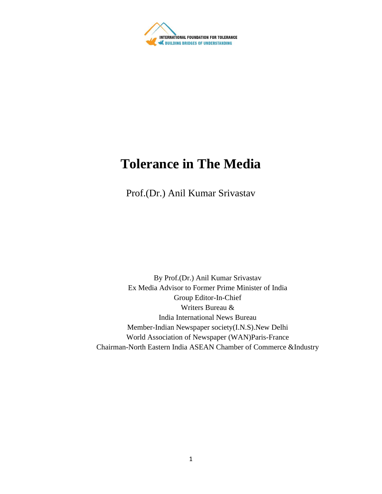

## **Tolerance in The Media**

Prof.(Dr.) Anil Kumar Srivastav

By Prof.(Dr.) Anil Kumar Srivastav Ex Media Advisor to Former Prime Minister of India Group Editor-In-Chief Writers Bureau & India International News Bureau Member-Indian Newspaper society(I.N.S).New Delhi World Association of Newspaper (WAN)Paris-France Chairman-North Eastern India ASEAN Chamber of Commerce &Industry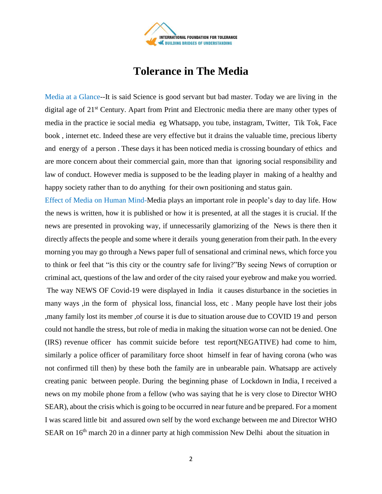

## **Tolerance in The Media**

Media at a Glance--It is said Science is good servant but bad master. Today we are living in the digital age of 21<sup>st</sup> Century. Apart from Print and Electronic media there are many other types of media in the practice ie social media eg Whatsapp, you tube, instagram, Twitter, Tik Tok, Face book , internet etc. Indeed these are very effective but it drains the valuable time, precious liberty and energy of a person . These days it has been noticed media is crossing boundary of ethics and are more concern about their commercial gain, more than that ignoring social responsibility and law of conduct. However media is supposed to be the leading player in making of a healthy and happy society rather than to do anything for their own positioning and status gain.

Effect of Media on Human Mind-Media plays an important role in people's day to day life. How the news is written, how it is published or how it is presented, at all the stages it is crucial. If the news are presented in provoking way, if unnecessarily glamorizing of the News is there then it directly affects the people and some where it derails young generation from their path. In the every morning you may go through a News paper full of sensational and criminal news, which force you to think or feel that "is this city or the country safe for living?"By seeing News of corruption or criminal act, questions of the law and order of the city raised your eyebrow and make you worried. The way NEWS OF Covid-19 were displayed in India it causes disturbance in the societies in many ways ,in the form of physical loss, financial loss, etc . Many people have lost their jobs ,many family lost its member ,of course it is due to situation arouse due to COVID 19 and person could not handle the stress, but role of media in making the situation worse can not be denied. One (IRS) revenue officer has commit suicide before test report(NEGATIVE) had come to him, similarly a police officer of paramilitary force shoot himself in fear of having corona (who was not confirmed till then) by these both the family are in unbearable pain. Whatsapp are actively creating panic between people. During the beginning phase of Lockdown in India, I received a news on my mobile phone from a fellow (who was saying that he is very close to Director WHO SEAR), about the crisis which is going to be occurred in near future and be prepared. For a moment I was scared little bit and assured own self by the word exchange between me and Director WHO SEAR on 16<sup>th</sup> march 20 in a dinner party at high commission New Delhi about the situation in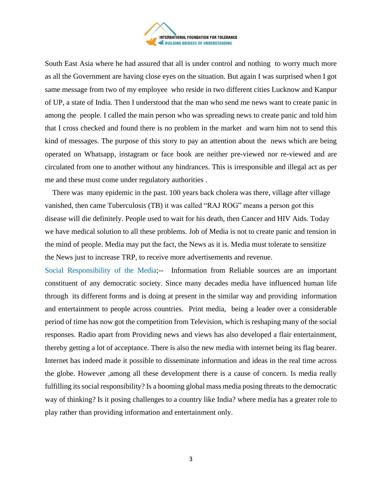

South East Asia where he had assured that all is under control and nothing to worry much more as all the Government are having close eyes on the situation. But again I was surprised when I got same message from two of my employee who reside in two different cities Lucknow and Kanpur of UP, a state of India. Then I understood that the man who send me news want to create panic in among the people. I called the main person who was spreading news to create panic and told him that I cross checked and found there is no problem in the market and warn him not to send this kind of messages. The purpose of this story to pay an attention about the news which are being operated on Whatsapp, instagram or face book are neither pre-viewed nor re-viewed and are circulated from one to another without any hindrances. This is irresponsible and illegal act as per me and these must come under regulatory authorities .

 There was many epidemic in the past. 100 years back cholera was there, village after village vanished, then came Tuberculosis (TB) it was called "RAJ ROG" means a person got this disease will die definitely. People used to wait for his death, then Cancer and HIV Aids. Today we have medical solution to all these problems. Job of Media is not to create panic and tension in the mind of people. Media may put the fact, the News as it is. Media must tolerate to sensitize the News just to increase TRP, to receive more advertisements and revenue.

Social Responsibility of the Media;-- Information from Reliable sources are an important constituent of any democratic society. Since many decades media have influenced human life through its different forms and is doing at present in the similar way and providing information and entertainment to people across countries. Print media, being a leader over a considerable period of time has now got the competition from Television, which is reshaping many of the social responses. Radio apart from Providing news and views has also developed a flair entertainment, thereby getting a lot of acceptance. There is also the new media with internet being its flag bearer. Internet has indeed made it possible to disseminate information and ideas in the real time across the globe. However ,among all these development there is a cause of concern. Is media really fulfilling its social responsibility? Is a booming global mass media posing threats to the democratic way of thinking? Is it posing challenges to a country like India? where media has a greater role to play rather than providing information and entertainment only.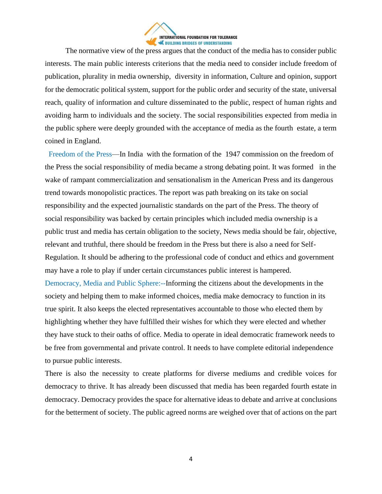

 The normative view of the press argues that the conduct of the media has to consider public interests. The main public interests criterions that the media need to consider include freedom of publication, plurality in media ownership, diversity in information, Culture and opinion, support for the democratic political system, support for the public order and security of the state, universal reach, quality of information and culture disseminated to the public, respect of human rights and avoiding harm to individuals and the society. The social responsibilities expected from media in the public sphere were deeply grounded with the acceptance of media as the fourth estate, a term coined in England.

 Freedom of the Press—In India with the formation of the 1947 commission on the freedom of the Press the social responsibility of media became a strong debating point. It was formed in the wake of rampant commercialization and sensationalism in the American Press and its dangerous trend towards monopolistic practices. The report was path breaking on its take on social responsibility and the expected journalistic standards on the part of the Press. The theory of social responsibility was backed by certain principles which included media ownership is a public trust and media has certain obligation to the society, News media should be fair, objective, relevant and truthful, there should be freedom in the Press but there is also a need for Self-Regulation. It should be adhering to the professional code of conduct and ethics and government may have a role to play if under certain circumstances public interest is hampered. Democracy, Media and Public Sphere:--Informing the citizens about the developments in the society and helping them to make informed choices, media make democracy to function in its true spirit. It also keeps the elected representatives accountable to those who elected them by highlighting whether they have fulfilled their wishes for which they were elected and whether they have stuck to their oaths of office. Media to operate in ideal democratic framework needs to be free from governmental and private control. It needs to have complete editorial independence to pursue public interests.

There is also the necessity to create platforms for diverse mediums and credible voices for democracy to thrive. It has already been discussed that media has been regarded fourth estate in democracy. Democracy provides the space for alternative ideas to debate and arrive at conclusions for the betterment of society. The public agreed norms are weighed over that of actions on the part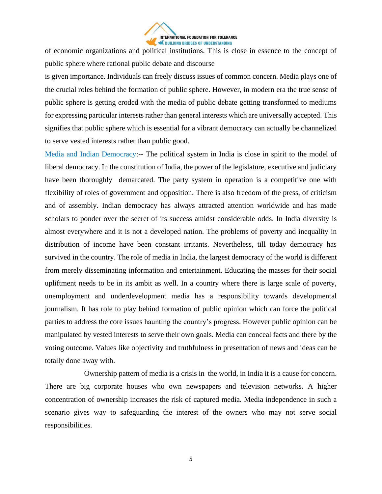

of economic organizations and political institutions. This is close in essence to the concept of public sphere where rational public debate and discourse

is given importance. Individuals can freely discuss issues of common concern. Media plays one of the crucial roles behind the formation of public sphere. However, in modern era the true sense of public sphere is getting eroded with the media of public debate getting transformed to mediums for expressing particular interests rather than general interests which are universally accepted. This signifies that public sphere which is essential for a vibrant democracy can actually be channelized to serve vested interests rather than public good.

Media and Indian Democracy:-- The political system in India is close in spirit to the model of liberal democracy. In the constitution of India, the power of the legislature, executive and judiciary have been thoroughly demarcated. The party system in operation is a competitive one with flexibility of roles of government and opposition. There is also freedom of the press, of criticism and of assembly. Indian democracy has always attracted attention worldwide and has made scholars to ponder over the secret of its success amidst considerable odds. In India diversity is almost everywhere and it is not a developed nation. The problems of poverty and inequality in distribution of income have been constant irritants. Nevertheless, till today democracy has survived in the country. The role of media in India, the largest democracy of the world is different from merely disseminating information and entertainment. Educating the masses for their social upliftment needs to be in its ambit as well. In a country where there is large scale of poverty, unemployment and underdevelopment media has a responsibility towards developmental journalism. It has role to play behind formation of public opinion which can force the political parties to address the core issues haunting the country's progress. However public opinion can be manipulated by vested interests to serve their own goals. Media can conceal facts and there by the voting outcome. Values like objectivity and truthfulness in presentation of news and ideas can be totally done away with.

 Ownership pattern of media is a crisis in the world, in India it is a cause for concern. There are big corporate houses who own newspapers and television networks. A higher concentration of ownership increases the risk of captured media. Media independence in such a scenario gives way to safeguarding the interest of the owners who may not serve social responsibilities.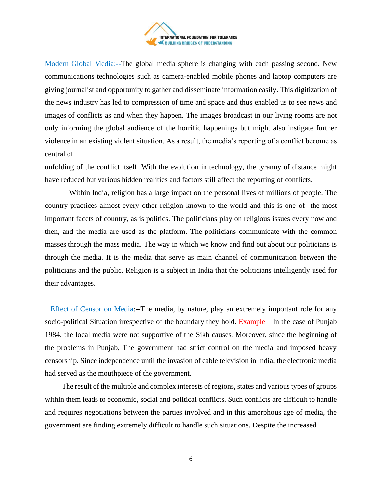

Modern Global Media:--The global media sphere is changing with each passing second. New communications technologies such as camera-enabled mobile phones and laptop computers are giving journalist and opportunity to gather and disseminate information easily. This digitization of the news industry has led to compression of time and space and thus enabled us to see news and images of conflicts as and when they happen. The images broadcast in our living rooms are not only informing the global audience of the horrific happenings but might also instigate further violence in an existing violent situation. As a result, the media's reporting of a conflict become as central of

unfolding of the conflict itself. With the evolution in technology, the tyranny of distance might have reduced but various hidden realities and factors still affect the reporting of conflicts.

 Within India, religion has a large impact on the personal lives of millions of people. The country practices almost every other religion known to the world and this is one of the most important facets of country, as is politics. The politicians play on religious issues every now and then, and the media are used as the platform. The politicians communicate with the common masses through the mass media. The way in which we know and find out about our politicians is through the media. It is the media that serve as main channel of communication between the politicians and the public. Religion is a subject in India that the politicians intelligently used for their advantages.

 Effect of Censor on Media:--The media, by nature, play an extremely important role for any socio-political Situation irrespective of the boundary they hold. Example—In the case of Punjab 1984, the local media were not supportive of the Sikh causes. Moreover, since the beginning of the problems in Punjab, The government had strict control on the media and imposed heavy censorship. Since independence until the invasion of cable television in India, the electronic media had served as the mouthpiece of the government.

 The result of the multiple and complex interests of regions, states and various types of groups within them leads to economic, social and political conflicts. Such conflicts are difficult to handle and requires negotiations between the parties involved and in this amorphous age of media, the government are finding extremely difficult to handle such situations. Despite the increased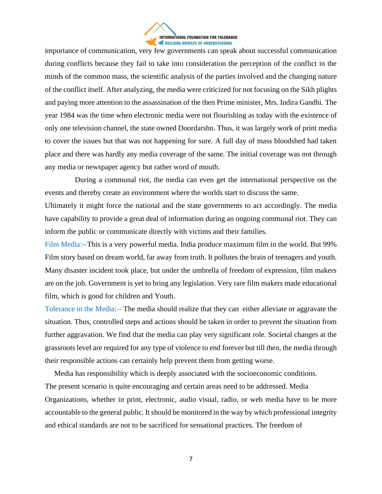

importance of communication, very few governments can speak about successful communication during conflicts because they fail to take into consideration the perception of the conflict in the minds of the common mass, the scientific analysis of the parties involved and the changing nature of the conflict itself. After analyzing, the media were criticized for not focusing on the Sikh plights and paying more attention to the assassination of the then Prime minister, Mrs. Indira Gandhi. The year 1984 was the time when electronic media were not flourishing as today with the existence of only one television channel, the state owned Doordarshn. Thus, it was largely work of print media to cover the issues but that was not happening for sure. A full day of mass bloodshed had taken place and there was hardly any media coverage of the same. The initial coverage was not through any media or newspaper agency but rather word of mouth.

 During a communal riot, the media can even get the international perspective on the events and thereby create an environment where the worlds start to discuss the same.

Ultimately it might force the national and the state governments to act accordingly. The media have capability to provide a great deal of information during an ongoing communal riot. They can inform the public or communicate directly with victims and their families.

Film Media:--This is a very powerful media. India produce maximum film in the world. But 99% Film story based on dream world, far away from truth. It pollutes the brain of teenagers and youth. Many disaster incident took place, but under the umbrella of freedom of expression, film makers are on the job. Government is yet to bring any legislation. Very rare film makers made educational film, which is good for children and Youth.

Tolerance in the Media:-- The media should realize that they can either alleviate or aggravate the situation. Thus, controlled steps and actions should be taken in order to prevent the situation from further aggravation. We find that the media can play very significant role. Societal changes at the grassroots level are required for any type of violence to end forever but till then, the media through their responsible actions can certainly help prevent them from getting worse.

 Media has responsibility which is deeply associated with the socioeconomic conditions. The present scenario is quite encouraging and certain areas need to be addressed. Media Organizations, whether in print, electronic, audio visual, radio, or web media have to be more accountable to the general public. It should be monitored in the way by which professional integrity and ethical standards are not to be sacrificed for sensational practices. The freedom of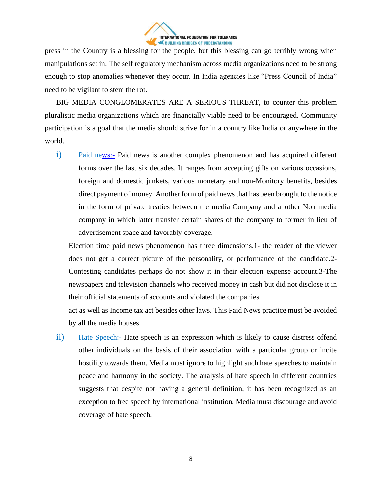

press in the Country is a blessing for the people, but this blessing can go terribly wrong when manipulations set in. The self regulatory mechanism across media organizations need to be strong enough to stop anomalies whenever they occur. In India agencies like "Press Council of India" need to be vigilant to stem the rot.

 BIG MEDIA CONGLOMERATES ARE A SERIOUS THREAT, to counter this problem pluralistic media organizations which are financially viable need to be encouraged. Community participation is a goal that the media should strive for in a country like India or anywhere in the world.

i) Paid n[ews:-](News:-) Paid news is another complex phenomenon and has acquired different forms over the last six decades. It ranges from accepting gifts on various occasions, foreign and domestic junkets, various monetary and non-Monitory benefits, besides direct payment of money. Another form of paid news that has been brought to the notice in the form of private treaties between the media Company and another Non media company in which latter transfer certain shares of the company to former in lieu of advertisement space and favorably coverage.

Election time paid news phenomenon has three dimensions.1- the reader of the viewer does not get a correct picture of the personality, or performance of the candidate.2- Contesting candidates perhaps do not show it in their election expense account.3-The newspapers and television channels who received money in cash but did not disclose it in their official statements of accounts and violated the companies

act as well as Income tax act besides other laws. This Paid News practice must be avoided by all the media houses.

ii) Hate Speech:- Hate speech is an expression which is likely to cause distress offend other individuals on the basis of their association with a particular group or incite hostility towards them. Media must ignore to highlight such hate speeches to maintain peace and harmony in the society. The analysis of hate speech in different countries suggests that despite not having a general definition, it has been recognized as an exception to free speech by international institution. Media must discourage and avoid coverage of hate speech.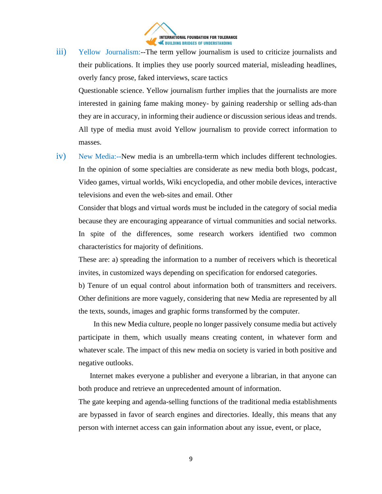

iii) Yellow Journalism:--The term yellow journalism is used to criticize journalists and their publications. It implies they use poorly sourced material, misleading headlines, overly fancy prose, faked interviews, scare tactics

Questionable science. Yellow journalism further implies that the journalists are more interested in gaining fame making money- by gaining readership or selling ads-than they are in accuracy, in informing their audience or discussion serious ideas and trends. All type of media must avoid Yellow journalism to provide correct information to masses.

iv) New Media:--New media is an umbrella-term which includes different technologies. In the opinion of some specialties are considerate as new media both blogs, podcast, Video games, virtual worlds, Wiki encyclopedia, and other mobile devices, interactive televisions and even the web-sites and email. Other

Consider that blogs and virtual words must be included in the category of social media because they are encouraging appearance of virtual communities and social networks. In spite of the differences, some research workers identified two common characteristics for majority of definitions.

These are: a) spreading the information to a number of receivers which is theoretical invites, in customized ways depending on specification for endorsed categories.

b) Tenure of un equal control about information both of transmitters and receivers. Other definitions are more vaguely, considering that new Media are represented by all the texts, sounds, images and graphic forms transformed by the computer.

 In this new Media culture, people no longer passively consume media but actively participate in them, which usually means creating content, in whatever form and whatever scale. The impact of this new media on society is varied in both positive and negative outlooks.

 Internet makes everyone a publisher and everyone a librarian, in that anyone can both produce and retrieve an unprecedented amount of information.

The gate keeping and agenda-selling functions of the traditional media establishments are bypassed in favor of search engines and directories. Ideally, this means that any person with internet access can gain information about any issue, event, or place,